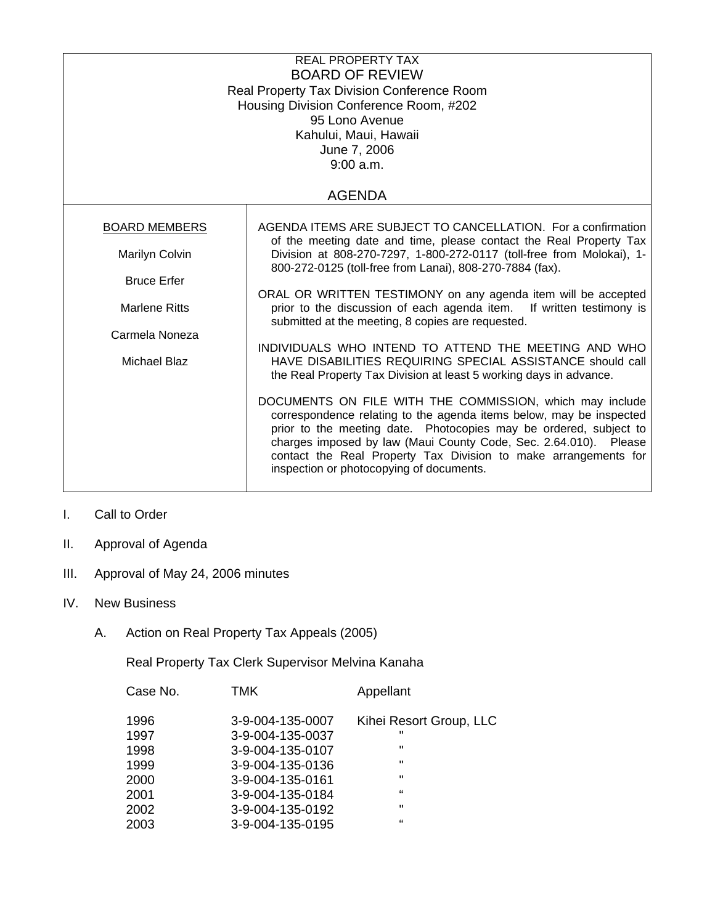| <b>REAL PROPERTY TAX</b><br><b>BOARD OF REVIEW</b><br>Real Property Tax Division Conference Room<br>Housing Division Conference Room, #202<br>95 Lono Avenue<br>Kahului, Maui, Hawaii<br>June 7, 2006<br>9:00 a.m.<br><b>AGENDA</b> |                                                                                                                                                                                                                                                                                                                                                                                         |  |
|-------------------------------------------------------------------------------------------------------------------------------------------------------------------------------------------------------------------------------------|-----------------------------------------------------------------------------------------------------------------------------------------------------------------------------------------------------------------------------------------------------------------------------------------------------------------------------------------------------------------------------------------|--|
|                                                                                                                                                                                                                                     |                                                                                                                                                                                                                                                                                                                                                                                         |  |
| <b>BOARD MEMBERS</b>                                                                                                                                                                                                                | AGENDA ITEMS ARE SUBJECT TO CANCELLATION. For a confirmation<br>of the meeting date and time, please contact the Real Property Tax                                                                                                                                                                                                                                                      |  |
| Marilyn Colvin                                                                                                                                                                                                                      | Division at 808-270-7297, 1-800-272-0117 (toll-free from Molokai), 1-<br>800-272-0125 (toll-free from Lanai), 808-270-7884 (fax).                                                                                                                                                                                                                                                       |  |
| <b>Bruce Erfer</b>                                                                                                                                                                                                                  |                                                                                                                                                                                                                                                                                                                                                                                         |  |
| <b>Marlene Ritts</b>                                                                                                                                                                                                                | ORAL OR WRITTEN TESTIMONY on any agenda item will be accepted<br>prior to the discussion of each agenda item. If written testimony is<br>submitted at the meeting, 8 copies are requested.                                                                                                                                                                                              |  |
| Carmela Noneza                                                                                                                                                                                                                      |                                                                                                                                                                                                                                                                                                                                                                                         |  |
| <b>Michael Blaz</b>                                                                                                                                                                                                                 | INDIVIDUALS WHO INTEND TO ATTEND THE MEETING AND WHO<br>HAVE DISABILITIES REQUIRING SPECIAL ASSISTANCE should call<br>the Real Property Tax Division at least 5 working days in advance.                                                                                                                                                                                                |  |
|                                                                                                                                                                                                                                     | DOCUMENTS ON FILE WITH THE COMMISSION, which may include<br>correspondence relating to the agenda items below, may be inspected<br>prior to the meeting date. Photocopies may be ordered, subject to<br>charges imposed by law (Maui County Code, Sec. 2.64.010). Please<br>contact the Real Property Tax Division to make arrangements for<br>inspection or photocopying of documents. |  |

## I. Call to Order

- II. Approval of Agenda
- III. Approval of May 24, 2006 minutes
- IV. New Business
	- A. Action on Real Property Tax Appeals (2005)

Real Property Tax Clerk Supervisor Melvina Kanaha

|      | Case No. | TMK              | Appellant               |
|------|----------|------------------|-------------------------|
| 1996 |          | 3-9-004-135-0007 | Kihei Resort Group, LLC |
| 1997 |          | 3-9-004-135-0037 | $\mathbf{u}$            |
| 1998 |          | 3-9-004-135-0107 | $\mathbf{H}$            |
| 1999 |          | 3-9-004-135-0136 | $\mathbf{H}$            |
| 2000 |          | 3-9-004-135-0161 | $\mathbf{H}$            |
| 2001 |          | 3-9-004-135-0184 | "                       |
| 2002 |          | 3-9-004-135-0192 | $\mathbf{H}$            |
| 2003 |          | 3-9-004-135-0195 | "                       |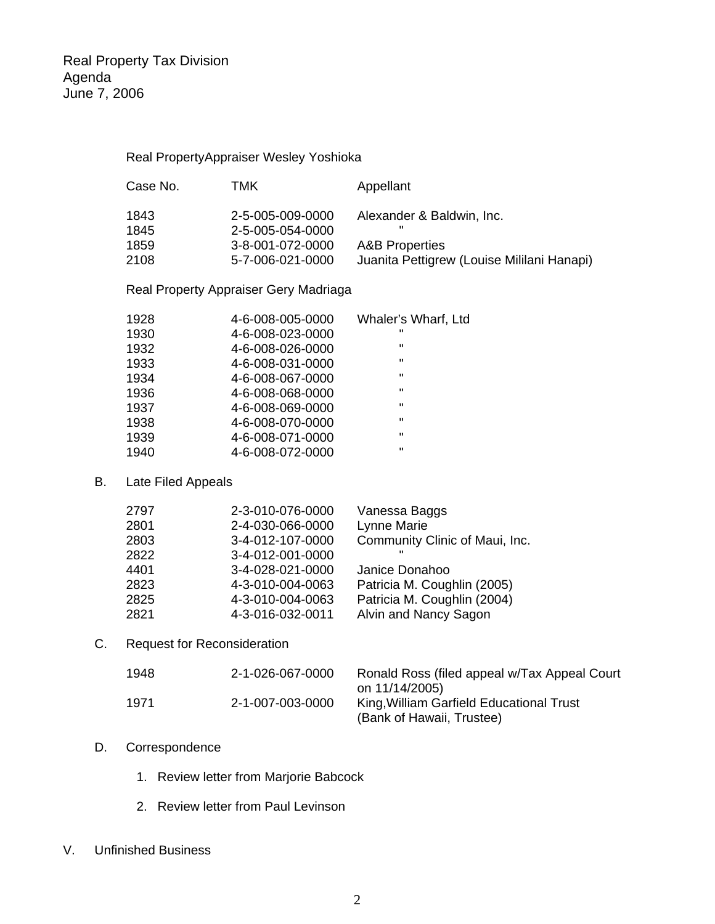Real PropertyAppraiser Wesley Yoshioka

| Case No. | тмк              | Appellant                                  |
|----------|------------------|--------------------------------------------|
| 1843     | 2-5-005-009-0000 | Alexander & Baldwin, Inc.                  |
| 1845     | 2-5-005-054-0000 | $\mathbf{u}$                               |
| 1859     | 3-8-001-072-0000 | <b>A&amp;B Properties</b>                  |
| 2108     | 5-7-006-021-0000 | Juanita Pettigrew (Louise Mililani Hanapi) |

Real Property Appraiser Gery Madriaga

| 1928 | 4-6-008-005-0000 | Whaler's Wharf, Ltd |
|------|------------------|---------------------|
| 1930 | 4-6-008-023-0000 | $\mathbf{H}$        |
| 1932 | 4-6-008-026-0000 | $\mathbf{H}$        |
| 1933 | 4-6-008-031-0000 | $\mathbf{H}$        |
| 1934 | 4-6-008-067-0000 | $\mathbf{H}$        |
| 1936 | 4-6-008-068-0000 | $\mathbf{u}$        |
| 1937 | 4-6-008-069-0000 | $\mathbf{H}$        |
| 1938 | 4-6-008-070-0000 | $\mathbf{H}$        |
| 1939 | 4-6-008-071-0000 | $\mathbf{H}$        |
| 1940 | 4-6-008-072-0000 | π                   |

#### B. Late Filed Appeals

| 2-3-010-076-0000 | Vanessa Baggs                  |
|------------------|--------------------------------|
| 2-4-030-066-0000 | Lynne Marie                    |
| 3-4-012-107-0000 | Community Clinic of Maui, Inc. |
| 3-4-012-001-0000 | ш                              |
| 3-4-028-021-0000 | Janice Donahoo                 |
| 4-3-010-004-0063 | Patricia M. Coughlin (2005)    |
| 4-3-010-004-0063 | Patricia M. Coughlin (2004)    |
| 4-3-016-032-0011 | Alvin and Nancy Sagon          |
|                  |                                |

## C. Request for Reconsideration

| 1948 | 2-1-026-067-0000 | Ronald Ross (filed appeal w/Tax Appeal Court<br>on 11/14/2005)        |
|------|------------------|-----------------------------------------------------------------------|
| 1971 | 2-1-007-003-0000 | King, William Garfield Educational Trust<br>(Bank of Hawaii, Trustee) |

#### D. Correspondence

- 1. Review letter from Marjorie Babcock
- 2. Review letter from Paul Levinson

## V. Unfinished Business